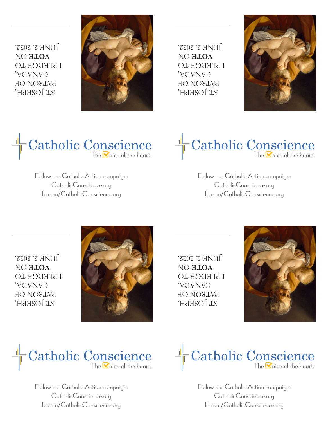ST. JOSEPH, PATRON OF CANADA, I PLEDGE TO **OOLE ON**  $J$ ONE  $3'$  2022<sup>.</sup>



 ST. JOSEPH, PATRON OF CANADA, I **bTEDCE LO OOLE ON** JUNE 2, 2022.





Follow our Catholic Action campaign: CatholicConscience.org fb.com/CatholicConscience.org



Follow our Catholic Action campaign: CatholicConscience.org fb.com/CatholicConscience.org

 ST. JOSEPH, PATRON OF CANADA, I **LEDGE LO OOLE ON**  $J$  $N$   $T$   $Z$   $Z$   $0Z$   $Z$ 



 ST. JOSEPH, PATRON OF CANADA, I **bTEDCE LO OOLE ON**  $J$ ONE  $3'$  2022.





Follow our Catholic Action campaign: CatholicConscience.org fb.com/CatholicConscience.org



Follow our Catholic Action campaign: CatholicConscience.org fb.com/CatholicConscience.org